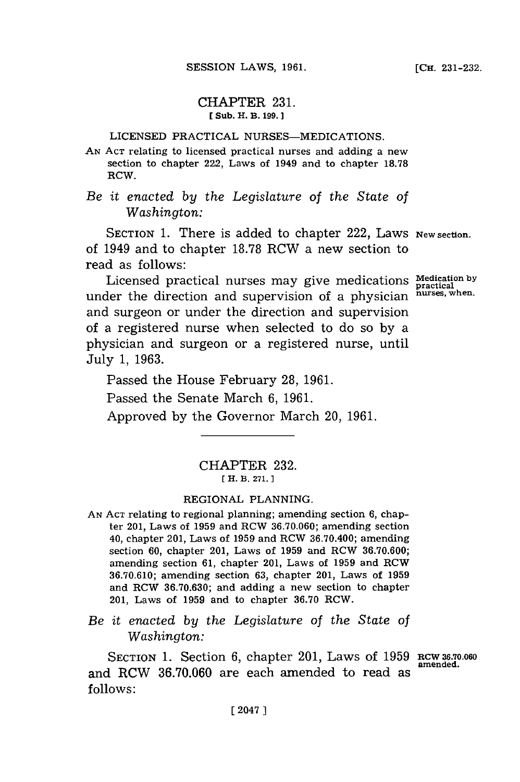## CHAPTER **231. [ Sub. H. B. 199.1**

### LICENSED PRACTICAL NURSES-MEDICATIONS.

**AN ACT** relating to licensed practical nurses and adding a new section to chapter 222, Laws of 1949 and to chapter **18.78** RCW.

*Be it enacted by the Legislature of the State of Washington:*

SECTION 1. There is added to chapter 222, Laws New section. of 1949 and to chapter **18.78** RCW a new section to read as follows:

Licensed practical nurses may give medications **Medication by practical** under the direction and supervision of a physician nurses, when and surgeon or under the direction and supervision of a registered nurse when selected to do so **by** a physician and surgeon or a registered nurse, until July **1, 1963.**

Passed the House February **28, 1961.**

Passed the Senate March **6, 1961.**

Approved **by** the Governor March 20, **1961.**

## CHAPTER **232. [H. B. 271. 1**

### REGIONAL **PLANNING.**

**AN ACT** relating to regional planning; amending section **6,** chapter 201, Laws of **1959** and RCW **36.70.060;** amending section 40, chapter 201, Laws of **1959** and RCW **36.70.400;** amending section **60,** chapter 201, Laws of **1959** and RCW **36.70.600;** amending section **61,** chapter 201, Laws of **1959** and RCW **36.70.610;** amending section **63,** chapter 201, Laws of **1959** and RCW **36.70.630;** and adding a new section to chapter 201, Laws of **1959** and to chapter **36.70** RCW.

*Be it enacted by the Legislature of the State of Washington:*

SECTION 1. Section 6, chapter 201, Laws of 1959 RCW 36.70.060 and RCW 36.70.060 are each amended to read as **follows:**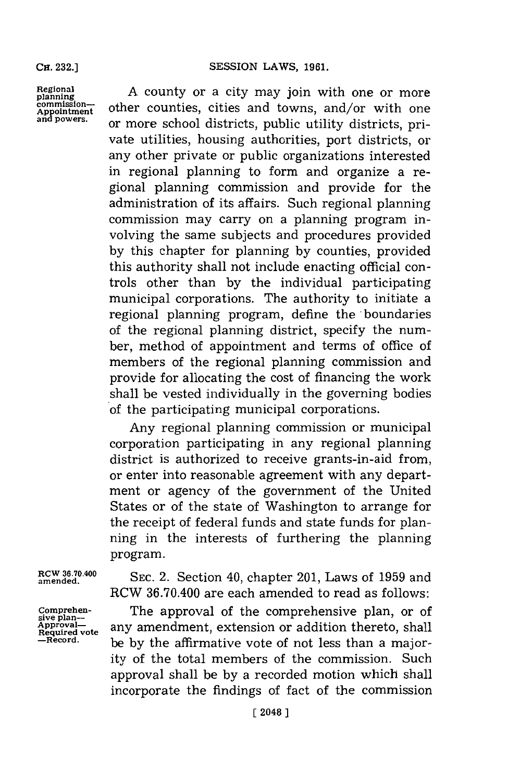**CH. 232.]**

commission—<br>Appointment<br>and powers.

**Regional A** county or a city may join with one or more **planning** other counties, cities and towns, and/or with one or more school districts, public utility districts, private utilities, housing authorities, port districts, or any other private or public organizations interested in regional planning to form and organize a regional planning commission and provide for the administration of its affairs. Such regional planning commission may carry on a planning program involving the same subjects and procedures provided **by** this chapter for planning **by** counties, provided this authority shall not include enacting official controls other than **by** the individual participating municipal corporations. The authority to initiate a regional planning program, define the boundaries of the regional planning district, specify the number, method of appointment and terms of office of members of the regional planning commission and provide for allocating the cost of financing the work shall be vested individually in the governing bodies of the participating municipal corporations.

> Any regional planning commission or municipal corporation participating in any regional planning district is authorized to receive grants-in-aid from, or enter into reasonable agreement with any department or agency of the government of the United States or of the state of Washington to arrange for the receipt of federal funds and state funds for planning in the interests of furthering the planning program.

**RCW 36.70.400** SEC. 2. Section 40, chapter 201, Laws of 1959 and RCW **36.70.400** are each amended to read as follows:

Comprehen-<br> **EXALGEDING THE APPROVAL**<br> **Required vote** any amendment, extension or addition thereto, shall<br> **Required vote by** the affirmative vote of not less than a major be by the affirmative vote of not less than a majority of the total members of the commission. Such approval shall be **by** a recorded motion which shall incorporate the findings of fact of the commission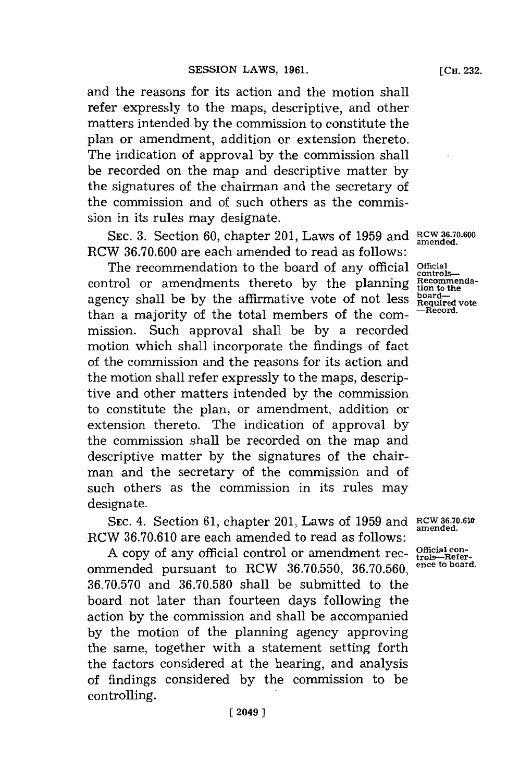and the reasons for its action and the motion shall refer expressly to the maps, descriptive, and other matters intended **by** the commission to constitute the plan or amendment, addition or extension thereto. The indication of approval **by** the commission shall be recorded on the map and descriptive matter **by** the signatures of the chairman and the secretary of the commission and of such others as the commission in its rules may designate.

**SEC. 3.** Section **60,** chapter 201, Laws of **1959** and **RCW 36.70.600** RCW **36.70.600** are each amended to read as follows:

The recommendation to the board of any official **Official** control or amendments thereto by the planning agency shall be by the affirmative vote of not less  $\frac{\text{board}}{\text{Required}}$  vote than a majority of the total members of the commission. Such approval shall be **by** a recorded motion which shall incorporate the findings of fact of the commission and the reasons for its action and the motion shall refer expressly to the maps, descriptive and other matters intended **by** the commission to constitute the plan, or amendment, addition or extension thereto. The indication of approval **by** the commission shall be recorded on the map and descriptive matter **by** the signatures of the chairman and the secretary of the commission and of such others as the commission in its rules may designate.

**SEC.** 4. Section **61,** chapter 201, Laws of **1959** and **RCW 6.70.610** RCW **36.70.610** are each amended to read as follows:

A copy of any official control or amendment rec-<br>metabolism and accuracy of the DGW 26.500 FC and the control operation ommended pursuant to RCW 36.70.550, 36.70.560, **36.70.570** and **36.70.580** shall be submitted to the board not later than fourteen days following the action **by** the commission and shall be accompanied **by** the motion of the planning agency approving the same, together with a statement setting forth the factors considered at the hearing, and analysis of findings considered **by** the commission to be controlling.

**[CH. 232.**

**amended.**

controls—<br>Recommenda-<br>tion to the